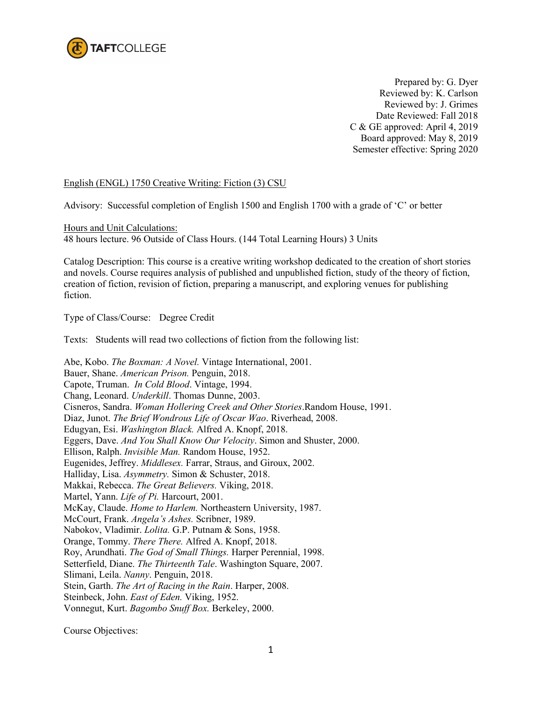

Prepared by: G. Dyer Reviewed by: K. Carlson Reviewed by: J. Grimes Date Reviewed: Fall 2018 C & GE approved: April 4, 2019 Board approved: May 8, 2019 Semester effective: Spring 2020

## English (ENGL) 1750 Creative Writing: Fiction (3) CSU

Advisory: Successful completion of English 1500 and English 1700 with a grade of 'C' or better

Hours and Unit Calculations:

48 hours lecture. 96 Outside of Class Hours. (144 Total Learning Hours) 3 Units

Catalog Description: This course is a creative writing workshop dedicated to the creation of short stories and novels. Course requires analysis of published and unpublished fiction, study of the theory of fiction, creation of fiction, revision of fiction, preparing a manuscript, and exploring venues for publishing fiction.

Type of Class/Course: Degree Credit

Texts: Students will read two collections of fiction from the following list:

Abe, Kobo. *The Boxman: A Novel.* Vintage International, 2001. Bauer, Shane. *American Prison.* Penguin, 2018. Capote, Truman. *In Cold Blood*. Vintage, 1994. Chang, Leonard. *Underkill*. Thomas Dunne, 2003. Cisneros, Sandra. *Woman Hollering Creek and Other Stories*.Random House, 1991. Diaz, Junot. *The Brief Wondrous Life of Oscar Wao*. Riverhead, 2008. Edugyan, Esi. *Washington Black.* Alfred A. Knopf, 2018. Eggers, Dave. *And You Shall Know Our Velocity*. Simon and Shuster, 2000. Ellison, Ralph. *Invisible Man.* Random House, 1952. Eugenides, Jeffrey. *Middlesex.* Farrar, Straus, and Giroux, 2002. Halliday, Lisa. *Asymmetry.* Simon & Schuster, 2018. Makkai, Rebecca. *The Great Believers.* Viking, 2018. Martel, Yann. *Life of Pi.* Harcourt, 2001. McKay, Claude. *Home to Harlem.* Northeastern University, 1987. McCourt, Frank. *Angela's Ashes.* Scribner, 1989. Nabokov, Vladimir. *Lolita.* G.P. Putnam & Sons, 1958. Orange, Tommy. *There There.* Alfred A. Knopf, 2018. Roy, Arundhati. *The God of Small Things.* Harper Perennial, 1998. Setterfield, Diane. *The Thirteenth Tale*. Washington Square, 2007. Slimani, Leila. *Nanny*. Penguin, 2018. Stein, Garth. *The Art of Racing in the Rain*. Harper, 2008. Steinbeck, John. *East of Eden.* Viking, 1952. Vonnegut, Kurt. *Bagombo Snuff Box.* Berkeley, 2000.

Course Objectives: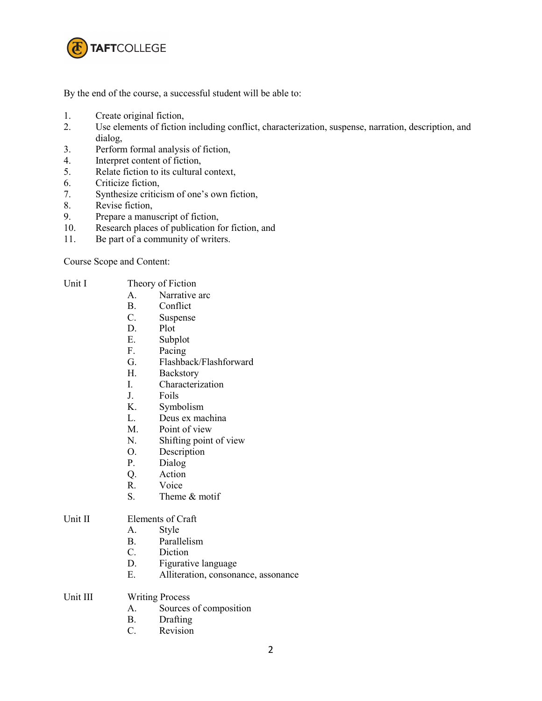

By the end of the course, a successful student will be able to:

- 1. Create original fiction,
- 2. Use elements of fiction including conflict, characterization, suspense, narration, description, and dialog,
- 3. Perform formal analysis of fiction,
- 4. Interpret content of fiction,
- 5. Relate fiction to its cultural context,
- 6. Criticize fiction,
- 7. Synthesize criticism of one's own fiction,
- 8. Revise fiction,
- 9. Prepare a manuscript of fiction,
- 10. Research places of publication for fiction, and
- 11. Be part of a community of writers.

Course Scope and Content:

- Unit I Theory of Fiction
	- A. Narrative arc
	- B. Conflict<br>C. Suspense
	- Suspense
	- D. Plot
	- E. Subplot
	- F. Pacing
	- G. Flashback/Flashforward
	- H. Backstory
	- I. Characterization
	- J. Foils
	- K. Symbolism
	- L. Deus ex machina
	- M. Point of view
	- N. Shifting point of view
	- O. Description
	- P. Dialog
	- Q. Action
	- R. Voice
	- S. Theme & motif

## Unit II Elements of Craft

- A. Style
- B. Parallelism
- C. Diction
- D. Figurative language
- E. Alliteration, consonance, assonance
- Unit III Writing Process
	- A. Sources of composition
	- B. Drafting
	- C. Revision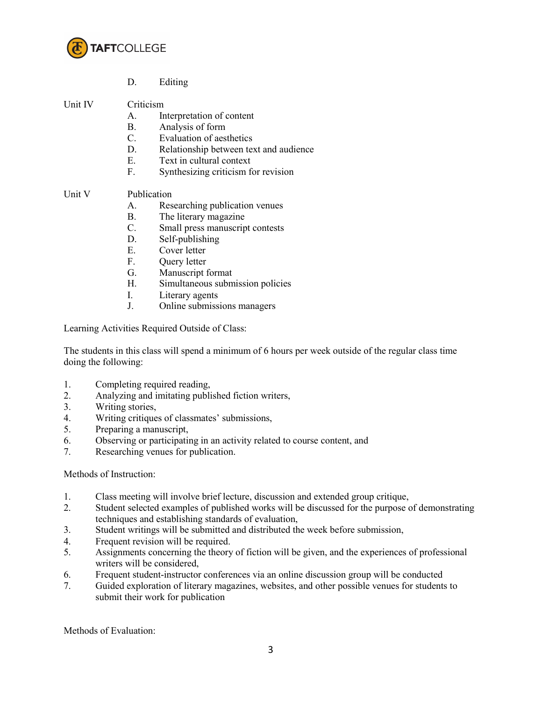

D. Editing

Unit IV Criticism

- A. Interpretation of content
- B. Analysis of form
- C. Evaluation of aesthetics
- D. Relationship between text and audience
- E. Text in cultural context
- F. Synthesizing criticism for revision

## Unit V Publication

- A. Researching publication venues
- B. The literary magazine
- C. Small press manuscript contests
- D. Self-publishing
- E. Cover letter
- F. Query letter
- G. Manuscript format
- H. Simultaneous submission policies
- I. Literary agents
- J. Online submissions managers

Learning Activities Required Outside of Class:

The students in this class will spend a minimum of 6 hours per week outside of the regular class time doing the following:

- 1. Completing required reading,
- 2. Analyzing and imitating published fiction writers,
- 3. Writing stories,
- 4. Writing critiques of classmates' submissions,
- 5. Preparing a manuscript,
- 6. Observing or participating in an activity related to course content, and
- 7. Researching venues for publication.

## Methods of Instruction:

- 1. Class meeting will involve brief lecture, discussion and extended group critique,
- 2. Student selected examples of published works will be discussed for the purpose of demonstrating techniques and establishing standards of evaluation,
- 3. Student writings will be submitted and distributed the week before submission,
- 4. Frequent revision will be required.
- 5. Assignments concerning the theory of fiction will be given, and the experiences of professional writers will be considered,
- 6. Frequent student-instructor conferences via an online discussion group will be conducted
- 7. Guided exploration of literary magazines, websites, and other possible venues for students to submit their work for publication

Methods of Evaluation: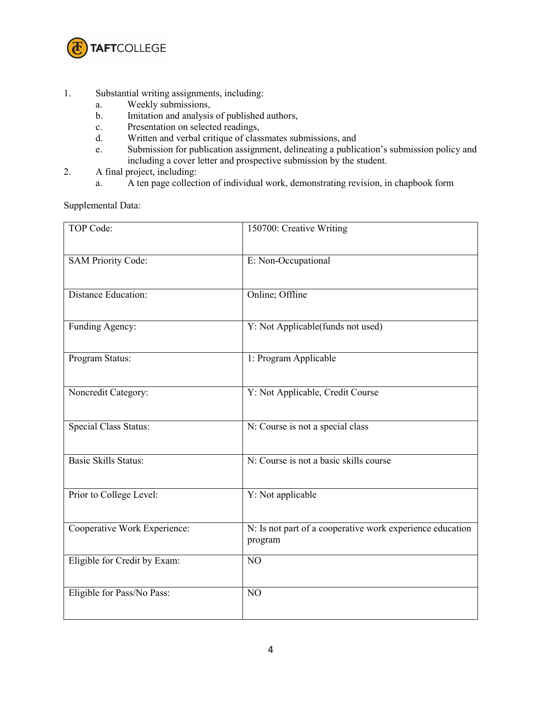

- 1. Substantial writing assignments, including:
	- a. Weekly submissions,
	- b. Imitation and analysis of published authors,
	- c. Presentation on selected readings,
	- d. Written and verbal critique of classmates submissions, and
	- e. Submission for publication assignment, delineating a publication's submission policy and including a cover letter and prospective submission by the student.
- 2. A final project, including:
	- a. A ten page collection of individual work, demonstrating revision, in chapbook form

Supplemental Data:

| TOP Code:                    | 150700: Creative Writing                                             |
|------------------------------|----------------------------------------------------------------------|
| <b>SAM Priority Code:</b>    | E: Non-Occupational                                                  |
| <b>Distance Education:</b>   | Online; Offline                                                      |
| Funding Agency:              | Y: Not Applicable(funds not used)                                    |
| Program Status:              | 1: Program Applicable                                                |
| Noncredit Category:          | Y: Not Applicable, Credit Course                                     |
| <b>Special Class Status:</b> | N: Course is not a special class                                     |
| <b>Basic Skills Status:</b>  | N: Course is not a basic skills course                               |
| Prior to College Level:      | Y: Not applicable                                                    |
| Cooperative Work Experience: | N: Is not part of a cooperative work experience education<br>program |
| Eligible for Credit by Exam: | NO                                                                   |
| Eligible for Pass/No Pass:   | NO                                                                   |